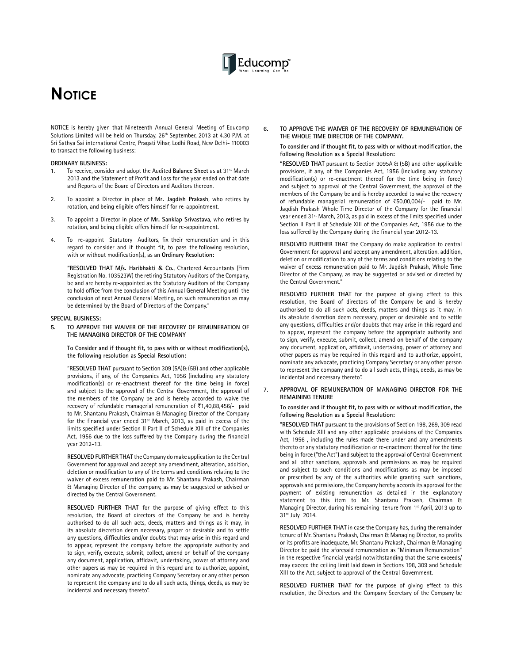

# **NOTICE**

NOTICE is hereby given that Nineteenth Annual General Meeting of Educomp Solutions Limited will be held on Thursday, 26<sup>th</sup> September, 2013 at 4.30 P.M. at Sri Sathya Sai international Centre, Pragati Vihar, Lodhi Road, New Delhi- 110003 to transact the following business:

#### **ORDINARY BUSINESS:**

- 1. To receive, consider and adopt the Audited **Balance Sheet** as at 31st March 2013 and the Statement of Profit and Loss for the year ended on that date and Reports of the Board of Directors and Auditors thereon.
- 2. To appoint a Director in place of **Mr. Jagdish Prakash**, who retires by rotation, and being eligible offers himself for re-appointment.
- 3. To appoint a Director in place of **Mr. Sanklap Srivastava**, who retires by rotation, and being eligible offers himself for re-appointment.
- 4. To re-appoint Statutory Auditors, fix their remuneration and in this regard to consider and if thought fit, to pass the following resolution, with or without modification(s), as an **Ordinary Resolution:**

**"RESOLVED THAT M/s. Haribhakti & Co.**, Chartered Accountants (Firm Registration No. 103523W) the retiring Statutory Auditors of the Company, be and are hereby re-appointed as the Statutory Auditors of the Company to hold office from the conclusion of this Annual General Meeting until the conclusion of next Annual General Meeting, on such remuneration as may be determined by the Board of Directors of the Company."

#### **SPECIAL BUSINESS:**

**5. TO APPROVE THE WAIVER OF THE RECOVERY OF REMUNERATION OF THE MANAGING DIRECTOR OF THE COMPANY**

**To Consider and if thought fit, to pass with or without modification(s), the following resolution as Special Resolution:**

"**RESOLVED THAT** pursuant to Section 309 (5A)& (5B) and other applicable provisions, if any, of the Companies Act, 1956 (including any statutory modification(s) or re-enactment thereof for the time being in force) and subject to the approval of the Central Government, the approval of the members of the Company be and is hereby accorded to waive the recovery of refundable managerial remuneration of  $\bar{\tau}$ 1,40,88,456/- paid to Mr. Shantanu Prakash, Chairman & Managing Director of the Company for the financial year ended 31<sup>st</sup> March, 2013, as paid in excess of the limits specified under Section II Part II of Schedule XIII of the Companies Act, 1956 due to the loss suffered by the Company during the financial year 2012-13.

**RESOLVED FURTHER THAT** the Company do make application to the Central Government for approval and accept any amendment, alteration, addition, deletion or modification to any of the terms and conditions relating to the waiver of excess remuneration paid to Mr. Shantanu Prakash, Chairman & Managing Director of the company, as may be suggested or advised or directed by the Central Government.

**RESOLVED FURTHER THAT** for the purpose of giving effect to this resolution, the Board of directors of the Company be and is hereby authorised to do all such acts, deeds, matters and things as it may, in its absolute discretion deem necessary, proper or desirable and to settle any questions, difficulties and/or doubts that may arise in this regard and to appear, represent the company before the appropriate authority and to sign, verify, execute, submit, collect, amend on behalf of the company any document, application, affidavit, undertaking, power of attorney and other papers as may be required in this regard and to authorize, appoint, nominate any advocate, practicing Company Secretary or any other person to represent the company and to do all such acts, things, deeds, as may be incidental and necessary thereto".

**6. TO APPROVE THE WAIVER OF THE RECOVERY OF REMUNERATION OF THE WHOLE TIME DIRECTOR OF THE COMPANY.** 

**To consider and if thought fit, to pass with or without modification, the following Resolution as a Special Resolution:**

**"RESOLVED THAT** pursuant to Section 3095A & (5B) and other applicable provisions, if any, of the Companies Act, 1956 (including any statutory modification(s) or re-enactment thereof for the time being in force) and subject to approval of the Central Government, the approval of the members of the Company be and is hereby accorded to waive the recovery of refundable managerial remuneration of  $\overline{5}50,00,004/-$  paid to Mr. Jagdish Prakash Whole Time Director of the Company for the financial year ended 31<sup>st</sup> March, 2013, as paid in excess of the limits specified under Section II Part II of Schedule XIII of the Companies Act, 1956 due to the loss suffered by the Company during the financial year 2012-13.

**RESOLVED FURTHER THAT** the Company do make application to central Government for approval and accept any amendment, alteration, addition, deletion or modification to any of the terms and conditions relating to the waiver of excess remuneration paid to Mr. Jagdish Prakash, Whole Time Director of the Company, as may be suggested or advised or directed by the Central Government."

**RESOLVED FURTHER THAT** for the purpose of giving effect to this resolution, the Board of directors of the Company be and is hereby authorised to do all such acts, deeds, matters and things as it may, in its absolute discretion deem necessary, proper or desirable and to settle any questions, difficulties and/or doubts that may arise in this regard and to appear, represent the company before the appropriate authority and to sign, verify, execute, submit, collect, amend on behalf of the company any document, application, affidavit, undertaking, power of attorney and other papers as may be required in this regard and to authorize, appoint, nominate any advocate, practicing Company Secretary or any other person to represent the company and to do all such acts, things, deeds, as may be incidental and necessary thereto".

#### **7. APPROVAL OF REMUNERATION OF MANAGING DIRECTOR FOR THE REMAINING TENURE**

#### **To consider and if thought fit, to pass with or without modification, the following Resolution as a Special Resolution:**

"**RESOLVED THAT** pursuant to the provisions of Section 198, 269, 309 read with Schedule XIII and any other applicable provisions of the Companies Act, 1956 , including the rules made there under and any amendments thereto or any statutory modification or re-enactment thereof for the time being in force ("the Act") and subject to the approval of Central Government and all other sanctions, approvals and permissions as may be required and subject to such conditions and modifications as may be imposed or prescribed by any of the authorities while granting such sanctions, approvals and permissions, the Company hereby accords its approval for the payment of existing remuneration as detailed in the explanatory statement to this item to Mr. Shantanu Prakash, Chairman & Managing Director, during his remaining tenure from 1st April, 2013 up to 31st July 2014.

**RESOLVED FURTHER THAT** in case the Company has, during the remainder tenure of Mr. Shantanu Prakash, Chairman & Managing Director, no profits or its profits are inadequate, Mr. Shantanu Prakash, Chairman & Managing Director be paid the aforesaid remuneration as "Minimum Remuneration" in the respective financial year(s) notwithstanding that the same exceeds/ may exceed the ceiling limit laid down in Sections 198, 309 and Schedule XIII to the Act, subject to approval of the Central Government.

**RESOLVED FURTHER THAT** for the purpose of giving effect to this resolution, the Directors and the Company Secretary of the Company be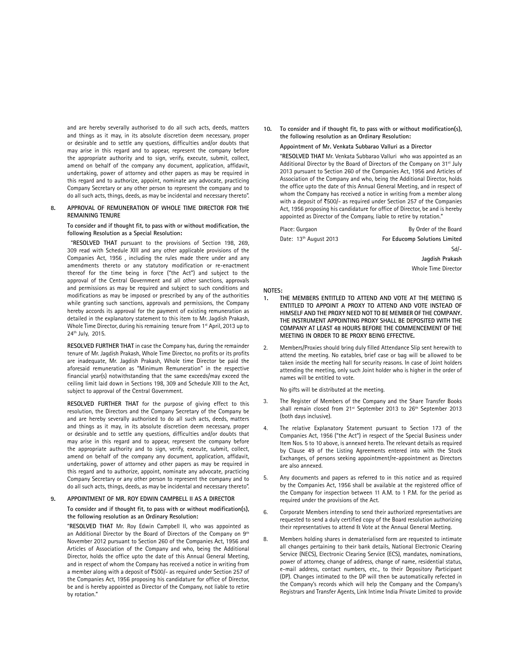and are hereby severally authorised to do all such acts, deeds, matters and things as it may, in its absolute discretion deem necessary, proper or desirable and to settle any questions, difficulties and/or doubts that may arise in this regard and to appear, represent the company before the appropriate authority and to sign, verify, execute, submit, collect, amend on behalf of the company any document, application, affidavit, undertaking, power of attorney and other papers as may be required in this regard and to authorize, appoint, nominate any advocate, practicing Company Secretary or any other person to represent the company and to do all such acts, things, deeds, as may be incidental and necessary thereto".

#### **8. APPROVAL OF REMUNERATION OF WHOLE TIME DIRECTOR FOR THE REMAINING TENURE**

**To consider and if thought fit, to pass with or without modification, the following Resolution as a Special Resolution:**

 "**RESOLVED THAT** pursuant to the provisions of Section 198, 269, 309 read with Schedule XIII and any other applicable provisions of the Companies Act, 1956 , including the rules made there under and any amendments thereto or any statutory modification or re-enactment thereof for the time being in force ("the Act") and subject to the approval of the Central Government and all other sanctions, approvals and permissions as may be required and subject to such conditions and modifications as may be imposed or prescribed by any of the authorities while granting such sanctions, approvals and permissions, the Company hereby accords its approval for the payment of existing remuneration as detailed in the explanatory statement to this item to Mr. Jagdish Prakash, Whole Time Director, during his remaining tenure from 1st April, 2013 up to 24th July, 2015.

**RESOLVED FURTHER THAT** in case the Company has, during the remainder tenure of Mr. Jagdish Prakash, Whole Time Director, no profits or its profits are inadequate, Mr. Jagdish Prakash, Whole time Director be paid the aforesaid remuneration as "Minimum Remuneration" in the respective financial year(s) notwithstanding that the same exceeds/may exceed the ceiling limit laid down in Sections 198, 309 and Schedule XIII to the Act, subject to approval of the Central Government.

**RESOLVED FURTHER THAT** for the purpose of giving effect to this resolution, the Directors and the Company Secretary of the Company be and are hereby severally authorised to do all such acts, deeds, matters and things as it may, in its absolute discretion deem necessary, proper or desirable and to settle any questions, difficulties and/or doubts that may arise in this regard and to appear, represent the company before the appropriate authority and to sign, verify, execute, submit, collect, amend on behalf of the company any document, application, affidavit, undertaking, power of attorney and other papers as may be required in this regard and to authorize, appoint, nominate any advocate, practicing Company Secretary or any other person to represent the company and to do all such acts, things, deeds, as may be incidental and necessary thereto".

#### **9. APPOINTMENT OF MR. ROY EDWIN CAMPBELL II AS A DIRECTOR**

**To consider and if thought fit, to pass with or without modification(s), the following resolution as an Ordinary Resolution:**

"**RESOLVED THAT** Mr. Roy Edwin Campbell II, who was appointed as an Additional Director by the Board of Directors of the Company on 9<sup>th</sup> November 2012 pursuant to Section 260 of the Companies Act, 1956 and Articles of Association of the Company and who, being the Additional Director, holds the office upto the date of this Annual General Meeting, and in respect of whom the Company has received a notice in writing from a member along with a deposit of `500/- as required under Section 257 of the Companies Act, 1956 proposing his candidature for office of Director, be and is hereby appointed as Director of the Company, not liable to retire by rotation."

**10. To consider and if thought fit, to pass with or without modification(s), the following resolution as an Ordinary Resolution:**

#### **Appointment of Mr. Venkata Subbarao Valluri as a Director**

"**RESOLVED THAT** Mr. Venkata Subbarao Valluri who was appointed as an Additional Director by the Board of Directors of the Company on 31<sup>st</sup> July 2013 pursuant to Section 260 of the Companies Act, 1956 and Articles of Association of the Company and who, being the Additional Director, holds the office upto the date of this Annual General Meeting, and in respect of whom the Company has received a notice in writing from a member along with a deposit of  $\overline{5}500$ /- as required under Section 257 of the Companies Act, 1956 proposing his candidature for office of Director, be and is hereby appointed as Director of the Company, liable to retire by rotation."

| Place: Gurgaon                     | By Order of the Board         |
|------------------------------------|-------------------------------|
| Date: 13 <sup>th</sup> August 2013 | For Educomp Solutions Limited |

Sd/- **Jagdish Prakash**

Whole Time Director

#### **NOTES:**

- THE MEMBERS ENTITLED TO ATTEND AND VOTE AT THE MEETING IS **ENTITLED TO APPOINT A PROXY TO ATTEND AND VOTE INSTEAD OF HIMSELF AND THE PROXY NEED NOT TO BE MEMBER OF THE COMPANY. THE INSTRUMENT APPOINTING PROXY SHALL BE DEPOSITED WITH THE COMPANY AT LEAST 48 HOURS BEFORE THE COMMENCEMENT OF THE MEETING IN ORDER TO BE PROXY BEING EFFECTIVE.**
- 2. Members/Proxies should bring duly filled Attendance Slip sent herewith to attend the meeting. No eatables, brief case or bag will be allowed to be taken inside the meeting hall for security reasons. In case of Joint holders attending the meeting, only such Joint holder who is higher in the order of names will be entitled to vote.

No gifts will be distributed at the meeting.

- The Register of Members of the Company and the Share Transfer Books shall remain closed from 21<sup>st</sup> September 2013 to 26<sup>th</sup> September 2013 (both days inclusive).
- The relative Explanatory Statement pursuant to Section 173 of the Companies Act, 1956 ("the Act") in respect of the Special Business under Item Nos. 5 to 10 above, is annexed hereto. The relevant details as required by Clause 49 of the Listing Agreements entered into with the Stock Exchanges, of persons seeking appointment/re-appointment as Directors are also annexed.
- 5. Any documents and papers as referred to in this notice and as required by the Companies Act, 1956 shall be available at the registered office of the Company for inspection between 11 A.M. to 1 P.M. for the period as required under the provisions of the Act.
- 6. Corporate Members intending to send their authorized representatives are requested to send a duly certified copy of the Board resolution authorizing their representatives to attend & Vote at the Annual General Meeting.
- 8. Members holding shares in dematerialised form are requested to intimate all changes pertaining to their bank details, National Electronic Clearing Service (NECS), Electronic Clearing Service (ECS), mandates, nominations, power of attorney, change of address, change of name, residential status, e-mail address, contact numbers, etc., to their Depository Participant (DP). Changes intimated to the DP will then be automatically refected in the Company's records which will help the Company and the Company's Registrars and Transfer Agents, Link Intime India Private Limited to provide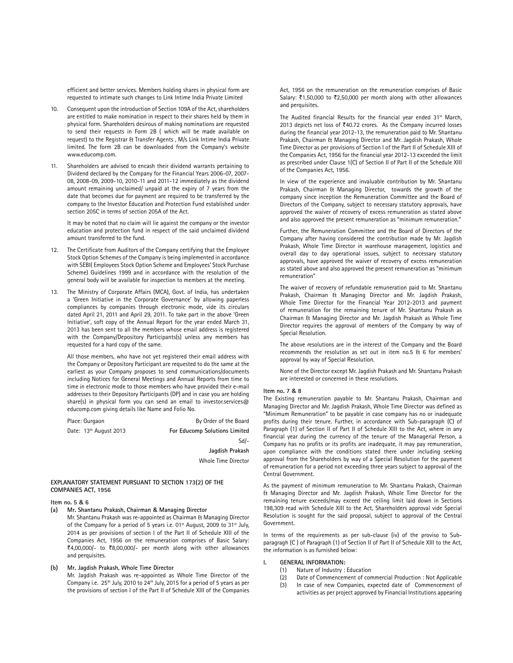efficient and better services. Members holding shares in physical form are requested to intimate such changes to Link Intime India Private Limited

- 10. Consequent upon the introduction of Section 109A of the Act, shareholders are entitled to make nomination in respect to their shares held by them in physical form. Shareholders desirous of making nominations are requested to send their requests in Form 2B ( which will be made available on request) to the Registrar & Transfer Agents , M/s Link Intime India Private limited. The form 2B can be downloaded from the Company's website www.educomp.com.
- 11. Shareholders are advised to encash their dividend warrants pertaining to Dividend declared by the Company for the Financial Years 2006-07, 2007- 08, 2008-09, 2009-10, 2010-11 and 2011-12 immediately as the dividend amount remaining unclaimed/ unpaid at the expiry of 7 years from the date that becomes due for payment are required to be transferred by the company to the Investor Education and Protection Fund established under section 205C in terms of section 205A of the Act.

It may be noted that no claim will lie against the company or the investor education and protection fund in respect of the said unclaimed dividend amount transferred to the fund.

- 12. The Certificate from Auditors of the Company certifying that the Employee Stock Option Schemes of the Company is being implemented in accordance with SEBI( Employees Stock Option Scheme and Employees' Stock Purchase Scheme) Guidelines 1999 and in accordance with the resolution of the general body will be available for inspection to members at the meeting.
- 13. The Ministry of Corporate Affairs (MCA), Govt. of India, has undertaken a 'Green Initiative in the Corporate Governance' by allowing paperless compliances by companies through electronic mode, vide its circulars dated April 21, 2011 and April 29, 2011. To take part in the above 'Green Initiative', soft copy of the Annual Report for the year ended March 31, 2013 has been sent to all the members whose email address is registered with the Company/Depository Participants(s) unless any members has requested for a hard copy of the same.

All those members, who have not yet registered their email address with the Company or Depository Participant are requested to do the same at the earliest as your Company proposes to send communications/documents including Notices for General Meetings and Annual Reports from time to time in electronic mode to those members who have provided their e-mail addresses to their Depository Participants (DP) and in case you are holding share(s) in physical form you can send an email to investor.services@ educomp.com giving details like Name and Folio No.

Place: Gurgaon By Order of the Board Date: 13<sup>th</sup> August 2013 **For Educomp Solutions Limited** Sd/- **Jagdish Prakash**

Whole Time Director

### **EXPLANATORY STATEMENT PURSUANT TO SECTION 173(2) OF THE COMPANIES ACT, 1956**

#### **Item no. 5 & 6**

**(a) Mr. Shantanu Prakash, Chairman & Managing Director** 

Mr. Shantanu Prakash was re-appointed as Chairman & Managing Director of the Company for a period of 5 years i.e. 01<sup>st</sup> August, 2009 to 31<sup>st</sup> July, 2014 as per provisions of section I of the Part II of Schedule XIII of the Companies Act, 1956 on the remuneration comprises of Basic Salary: ₹4,00,000/- to ₹8,00,000/- per month along with other allowances and perquisites.

## **(b) Mr. Jagdish Prakash, Whole Time Director**

Mr. Jagdish Prakash was re-appointed as Whole Time Director of the Company i.e.  $25^{th}$  July, 2010 to  $24^{th}$  July, 2015 for a period of 5 years as per the provisions of section I of the Part II of Schedule XIII of the Companies Act, 1956 on the remuneration on the remuneration comprises of Basic Salary: ₹1,50,000 to ₹2,50,000 per month along with other allowances and perquisites.

The Audited financial Results for the financial year ended 31<sup>st</sup> March, 2013 depicts net loss of ₹40.72 crores. As the Company incurred losses during the financial year 2012-13, the remuneration paid to Mr. Shantanu Prakash, Chairman & Managing Director and Mr. Jagdish Prakash, Whole Time Director as per provisions of Section I of the Part II of Schedule XIII of the Companies Act, 1956 for the financial year 2012-13 exceeded the limit as prescribed under Clause 1(C) of Section II of Part II of the Schedule XIII of the Companies Act, 1956.

In view of the experience and invaluable contribution by Mr. Shantanu Prakash, Chairman & Managing Director, towards the growth of the company since inception the Remuneration Committee and the Board of Directors of the Company, subject to necessary statutory approvals, have approved the waiver of recovery of excess remuneration as stated above and also approved the present remuneration as "minimum remuneration."

Further, the Remuneration Committee and the Board of Directors of the Company after having considered the contribution made by Mr. Jagdish Prakash, Whole Time Director in warehouse management, logistics and overall day to day operational issues, subject to necessary statutory approvals, have approved the waiver of recovery of excess remuneration as stated above and also approved the present remuneration as "minimum remuneration"

The waiver of recovery of refundable remuneration paid to Mr. Shantanu Prakash, Chairman & Managing Director and Mr. Jagdish Prakash, Whole Time Director for the Financial Year 2012-2013 and payment of remuneration for the remaining tenure of Mr. Shantanu Prakash as Chairman & Managing Director and Mr. Jagdish Prakash as Whole Time Director requires the approval of members of the Company by way of Special Resolution.

The above resolutions are in the interest of the Company and the Board recommends the resolution as set out in item no.5 & 6 for members' approval by way of Special Resolution.

None of the Director except Mr. Jagdish Prakash and Mr. Shantanu Prakash are interested or concerned in these resolutions.

#### **Item no. 7 & 8**

The Existing remuneration payable to Mr. Shantanu Prakash, Chairman and Managing Director and Mr. Jagdish Prakash, Whole Time Director was defined as "Minimum Remuneration" to be payable in case company has no or inadequate profits during their tenure. Further, in accordance with Sub-paragraph (C) of Paragraph (1) of Section II of Part II of Schedule XIII to the Act, where in any financial year during the currency of the tenure of the Managerial Person, a Company has no profits or its profits are inadequate, it may pay remuneration, upon compliance with the conditions stated there under including seeking approval from the Shareholders by way of a Special Resolution for the payment of remuneration for a period not exceeding three years subject to approval of the Central Government.

As the payment of minimum remuneration to Mr. Shantanu Prakash, Chairman & Managing Director and Mr. Jagdish Prakash, Whole Time Director for the remaining tenure exceeds/may exceed the ceiling limit laid down in Sections 198,309 read with Schedule XIII to the Act, Shareholders approval vide Special Resolution is sought for the said proposal, subject to approval of the Central Government.

In terms of the requirements as per sub-clause (iv) of the proviso to Subparagragh (C ) of Paragraph (1) of Section II of Part II of Schedule XIII to the Act, the information is as furnished below:

#### **I. GENERAL INFORMATION:**

- (1) Nature of Industry : Education
- (2) Date of Commencement of commercial Production : Not Applicable
- (3) In case of new Companies, expected date of Commencement of activities as per project approved by Financial Institutions appearing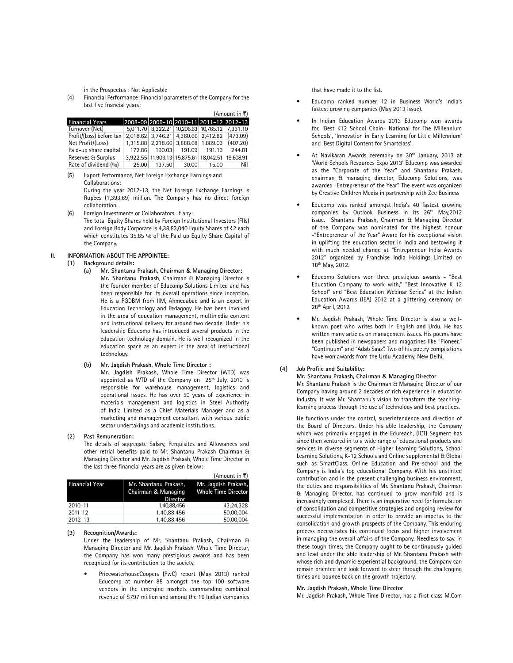in the Prospectus : Not Applicable

 (4) Financial Performance: Financial parameters of the Company for the last five fnancial years:

|                          |                                         |        |                   |                                                | $(A$ mount in ₹) |
|--------------------------|-----------------------------------------|--------|-------------------|------------------------------------------------|------------------|
| <b>Financial Years</b>   | 2008-09 2009-10 2010-11 2011-12 2012-13 |        |                   |                                                |                  |
| Turnover (Net)           |                                         |        |                   | 5,011.70 8,322.21 10,206.63 10,765.12 7,331.10 |                  |
| Profit/(Loss) before tax |                                         |        |                   | 2,018.62 3,746.21 4,360.66 2,412.82            | (473.09)         |
| Net Profit/(Loss)        | 1.315.88                                |        | 2,218.66 3,888.68 | 1.889.03                                       | (407.20)         |
| Paid-up share capital    | 172.86                                  | 190.03 | 191.09            | 191.13                                         | 244.81           |
| Reserves & Surplus       |                                         |        |                   | 3,922.55 11,903.13 15,875.61 18,042.51         | 19.608.91        |
| Rate of dividend (%)     | 25.00                                   | 137.50 | 30.00             | 15.00                                          | Nil              |

 (5) Export Performance, Net Foreign Exchange Earnings and Collaborations:

 During the year 2012-13, the Net Foreign Exchange Earnings is Rupees (1,393.69) million. The Company has no direct foreign collaboration.

 (6) Foreign Investments or Collaborators, if any: The total Equity Shares held by Foreign Institutional Investors (FIIs) and Foreign Body Corporate is 4,38,83,040 Equity Shares of ₹2 each which constitutes 35.85 % of the Paid up Equity Share Capital of the Company.

#### **II. INFORMATION ABOUT THE APPOINTEE:**

 **(1) Background details:**

 **(a) Mr. Shantanu Prakash, Chairman & Managing Director: Mr. Shantanu Prakash**, Chairman & Managing Director is the founder member of Educomp Solutions Limited and has been responsible for its overall operations since inception. He is a PGDBM from IIM, Ahmedabad and is an expert in Education Technology and Pedagogy. He has been involved in the area of education management, multimedia content and instructional delivery for around two decade. Under his leadership Educomp has introduced several products in the education technology domain. He is well recognized in the education space as an expert in the area of instructional technology.

 **(b) Mr. Jagdish Prakash, Whole Time Director :**

**Mr. Jagdish Prakash**, Whole Time Director (WTD) was appointed as WTD of the Company on  $25<sup>th</sup>$  July, 2010 is responsible for warehouse management, logistics and operational issues. He has over 50 years of experience in materials management and logistics in Steel Authority of India Limited as a Chief Materials Manager and as a marketing and management consultant with various public sector undertakings and academic institutions.

#### **(2) Past Remuneration:**

 The details of aggregate Salary, Perquisites and Allowances and other retrial benefits paid to Mr. Shantanu Prakash Chairman & Managing Director and Mr. Jagdish Prakash, Whole Time Director in the last three financial years are as given below:

|                       |                                                                 | (Amount in ₹)                                      |
|-----------------------|-----------------------------------------------------------------|----------------------------------------------------|
| <b>Financial Year</b> | Mr. Shantanu Prakash,<br>Chairman & Managing<br><b>Director</b> | Mr. Jagdish Prakash,<br><b>Whole Time Director</b> |
| 2010-11               | 1.40.88.456                                                     | 43.24.328                                          |
| $2011 - 12$           | 1,40,88,456                                                     | 50,00,004                                          |
| 2012-13               | 1,40,88,456                                                     | 50,00,004                                          |

#### **(3) Recognition/Awards:**

 Under the leadership of Mr. Shantanu Prakash, Chairman & Managing Director and Mr. Jagdish Prakash, Whole Time Director, the Company has won many prestigious awards and has been recognized for its contribution to the society.

PricewaterhouseCoopers (PwC) report (May 2013) ranked Educomp at number 85 amongst the top 100 software vendors in the emerging markets commanding combined revenue of \$797 million and among the 16 Indian companies

that have made it to the list.

- Educomp ranked number 12 in Business World's India's fastest growing companies (May 2013 Issue).
- In Indian Education Awards 2013 Educomp won awards for, 'Best K12 School Chain- National for The Millennium Schools', 'Innovation in Early Learning for Little Millennium' and 'Best Digital Content for Smartclass'.
- At Navikaran Awards ceremony on 30<sup>th</sup> January, 2013 at 'World Schools Resources Expo 2013' Educomp was awarded as the "Corporate of the Year" and Shantanu Prakash, chairman & managing director, Educomp Solutions, was awarded "Entrepreneur of the Year". The event was organized by Creative Children Media in partnership with Zee Business
- Educomp was ranked amongst India's 40 fastest growing companies by Outlook Business in its 26<sup>th</sup> May, 2012 issue. Shantanu Prakash, Chairman & Managing Director of the Company was nominated for the highest honour -"Entrepreneur of the Year" Award for his exceptional vision in uplifting the education sector in India and bestowing it with much needed change at "Entrepreneur India Awards 2012" organized by Franchise India Holdings Limited on 18th May, 2012.
- Educomp Solutions won three prestigious awards "Best Education Company to work with," "Best Innovative K 12 School" and "Best Education Webinar Series" at the Indian Education Awards (IEA) 2012 at a glittering ceremony on 28th April, 2012.
- Mr. Jagdish Prakash, Whole Time Director is also a wellknown poet who writes both in English and Urdu. He has written many articles on management issues. His poems have been published in newspapers and magazines like "Pioneer," "Continuum" and "Adab Saaz". Two of his poetry compilations have won awards from the Urdu Academy, New Delhi.

#### **(4) Job Profile and Suitability:**

 **Mr. Shantanu Prakash, Chairman & Managing Director** 

 Mr. Shantanu Prakash is the Chairman & Managing Director of our Company having around 2 decades of rich experience in education industry. It was Mr. Shantanu's vision to transform the teachinglearning process through the use of technology and best practices.

 He functions under the control, superintendence and direction of the Board of Directors. Under his able leadership, the Company which was primarily engaged in the Edureach, (ICT) Segment has since then ventured in to a wide range of educational products and services in diverse segments of Higher Learning Solutions, School Learning Solutions, K-12 Schools and Online supplemental & Global such as SmartClass, Online Education and Pre-school and the Company is India's top educational Company. With his unstinted contribution and in the present challenging business environment, the duties and responsibilities of Mr. Shantanu Prakash, Chairman & Managing Director, has continued to grow manifold and is increasingly complexed. There is an imperative need for formulation of consolidation and competitive strategies and ongoing review for successful implementation in order to provide an impetus to the consolidation and growth prospects of the Company. This enduring process necessitates his continued focus and higher involvement in managing the overall affairs of the Company. Needless to say, in these tough times, the Company ought to be continuously guided and lead under the able leadership of Mr. Shantanu Prakash with whose rich and dynamic experiential background, the Company can remain oriented and look forward to steer through the challenging times and bounce back on the growth trajectory.

#### **Mr. Jagdish Prakash, Whole Time Director**

Mr. Jagdish Prakash, Whole Time Director, has a first class M.Com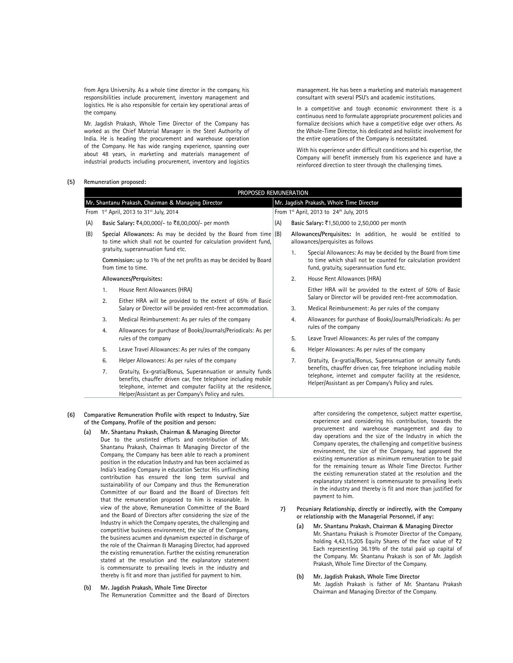from Agra University. As a whole time director in the company, his responsibilities include procurement, inventory management and logistics. He is also responsible for certain key operational areas of the company.

 Mr. Jagdish Prakash, Whole Time Director of the Company has worked as the Chief Material Manager in the Steel Authority of India. He is heading the procurement and warehouse operation of the Company. He has wide ranging experience, spanning over about 48 years, in marketing and materials management of industrial products including procurement, inventory and logistics management. He has been a marketing and materials management consultant with several PSU's and academic institutions.

 In a competitive and tough economic environment there is a continuous need to formulate appropriate procurement policies and formalize decisions which have a competitive edge over others. As the Whole-Time Director, his dedicated and holistic involvement for the entire operations of the Company is necessitated.

 With his experience under difficult conditions and his expertise, the Company will benefit immensely from his experience and have a reinforced direction to steer through the challenging times.

 **(5) Remuneration proposed:**

|                                                    | PROPOSED REMUNERATION                                                                                                                                                                                                                                                                                 |                                                                                                                              |     |                      |                                                                                                                                                                                                                                         |  |  |
|----------------------------------------------------|-------------------------------------------------------------------------------------------------------------------------------------------------------------------------------------------------------------------------------------------------------------------------------------------------------|------------------------------------------------------------------------------------------------------------------------------|-----|----------------------|-----------------------------------------------------------------------------------------------------------------------------------------------------------------------------------------------------------------------------------------|--|--|
| Mr. Shantanu Prakash, Chairman & Managing Director |                                                                                                                                                                                                                                                                                                       | Mr. Jagdish Prakash, Whole Time Director                                                                                     |     |                      |                                                                                                                                                                                                                                         |  |  |
| From 1st April, 2013 to 31st July, 2014            |                                                                                                                                                                                                                                                                                                       | From 1st April, 2013 to 24th July, 2015                                                                                      |     |                      |                                                                                                                                                                                                                                         |  |  |
| (A)                                                |                                                                                                                                                                                                                                                                                                       | Basic Salary: ₹4,00,000/- to ₹8,00,000/- per month                                                                           | (A) |                      | Basic Salary: ₹1,50,000 to 2,50,000 per month                                                                                                                                                                                           |  |  |
| (B)                                                | Special Allowances: As may be decided by the Board from time $(B)$<br>to time which shall not be counted for calculation provident fund,<br>gratuity, superannuation fund etc.<br>Commission: up to 1% of the net profits as may be decided by Board<br>from time to time.<br>Allowances/Perquisites: |                                                                                                                              |     |                      | Allowances/Perquisites: In addition, he would be entitled to<br>allowances/perquisites as follows                                                                                                                                       |  |  |
|                                                    |                                                                                                                                                                                                                                                                                                       |                                                                                                                              |     | 1.                   | Special Allowances: As may be decided by the Board from time<br>to time which shall not be counted for calculation provident<br>fund, gratuity, superannuation fund etc.                                                                |  |  |
|                                                    |                                                                                                                                                                                                                                                                                                       |                                                                                                                              |     | 2.                   | House Rent Allowances (HRA)                                                                                                                                                                                                             |  |  |
|                                                    | House Rent Allowances (HRA)<br>1.                                                                                                                                                                                                                                                                     |                                                                                                                              |     |                      | Either HRA will be provided to the extent of 50% of Basic                                                                                                                                                                               |  |  |
|                                                    | 2.                                                                                                                                                                                                                                                                                                    | Either HRA will be provided to the extent of 65% of Basic<br>Salary or Director will be provided rent-free accommodation.    |     |                      | Salary or Director will be provided rent-free accommodation.                                                                                                                                                                            |  |  |
|                                                    |                                                                                                                                                                                                                                                                                                       |                                                                                                                              |     | 3.                   | Medical Reimbursement: As per rules of the company                                                                                                                                                                                      |  |  |
|                                                    | 3.                                                                                                                                                                                                                                                                                                    | Medical Reimbursement: As per rules of the company                                                                           |     | 4.                   | Allowances for purchase of Books/Journals/Periodicals: As per                                                                                                                                                                           |  |  |
|                                                    | Allowances for purchase of Books/Journals/Periodicals: As per<br>4.<br>rules of the company                                                                                                                                                                                                           |                                                                                                                              |     | rules of the company |                                                                                                                                                                                                                                         |  |  |
|                                                    |                                                                                                                                                                                                                                                                                                       |                                                                                                                              |     | 5.                   | Leave Travel Allowances: As per rules of the company                                                                                                                                                                                    |  |  |
|                                                    | 5.                                                                                                                                                                                                                                                                                                    | Leave Travel Allowances: As per rules of the company                                                                         |     | 6.                   | Helper Allowances: As per rules of the company                                                                                                                                                                                          |  |  |
|                                                    | 6.                                                                                                                                                                                                                                                                                                    | Helper Allowances: As per rules of the company                                                                               |     | 7.                   | Gratuity, Ex-gratia/Bonus, Superannuation or annuity funds                                                                                                                                                                              |  |  |
|                                                    | 7.                                                                                                                                                                                                                                                                                                    | Gratuity, Ex-gratia/Bonus, Superannuation or annuity funds<br>benefits, chauffer driven car, free telephone including mobile |     |                      | benefits, chauffer driven car, free telephone including mobile<br>telephone, internet and computer facility at the residence,<br>$\mathbf{a}$ . $\mathbf{b}$ . $\mathbf{c}$ . $\mathbf{c}$ . $\mathbf{c}$ . $\mathbf{c}$ . $\mathbf{c}$ |  |  |

 **(6) Comparative Remuneration Profile with respect to Industry, Size of the Company, Profile of the position and person:**

telephone, internet and computer facility at the residence, Helper/Assistant as per Company's Policy and rules.

- **(a) Mr. Shantanu Prakash, Chairman & Managing Director**  Due to the unstinted efforts and contribution of Mr. Shantanu Prakash, Chairman & Managing Director of the Company, the Company has been able to reach a prominent position in the education Industry and has been acclaimed as India's leading Company in education Sector. His unflinching contribution has ensured the long term survival and sustainability of our Company and thus the Remuneration Committee of our Board and the Board of Directors felt that the remuneration proposed to him is reasonable. In view of the above, Remuneration Committee of the Board and the Board of Directors after considering the size of the Industry in which the Company operates, the challenging and competitive business environment, the size of the Company, the business acumen and dynamism expected in discharge of the role of the Chairman & Managing Director, had approved the existing remuneration. Further the existing remuneration stated at the resolution and the explanatory statement is commensurate to prevailing levels in the industry and thereby is fit and more than justified for payment to him.
- **(b) Mr. Jagdish Prakash, Whole Time Director**  The Remuneration Committee and the Board of Directors

after considering the competence, subject matter expertise, experience and considering his contribution, towards the procurement and warehouse management and day to day operations and the size of the Industry in which the Company operates, the challenging and competitive business environment, the size of the Company, had approved the existing remuneration as minimum remuneration to be paid for the remaining tenure as Whole Time Director. Further the existing remuneration stated at the resolution and the explanatory statement is commensurate to prevailing levels in the industry and thereby is fit and more than justified for payment to him.

 **7) Pecuniary Relationship, directly or indirectly, with the Company or relationship with the Managerial Personnel, if any:**

Helper/Assistant as per Company's Policy and rules.

- **(a) Mr. Shantanu Prakash, Chairman & Managing Director**  Mr. Shantanu Prakash is Promoter Director of the Company, holding 4,43,15,205 Equity Shares of the face value of  $\bar{z}2$ Each representing 36.19% of the total paid up capital of the Company. Mr. Shantanu Prakash is son of Mr. Jagdish Prakash, Whole Time Director of the Company.
- **(b) Mr. Jagdish Prakash, Whole Time Director**  Mr. Jagdish Prakash is father of Mr. Shantanu Prakash Chairman and Managing Director of the Company.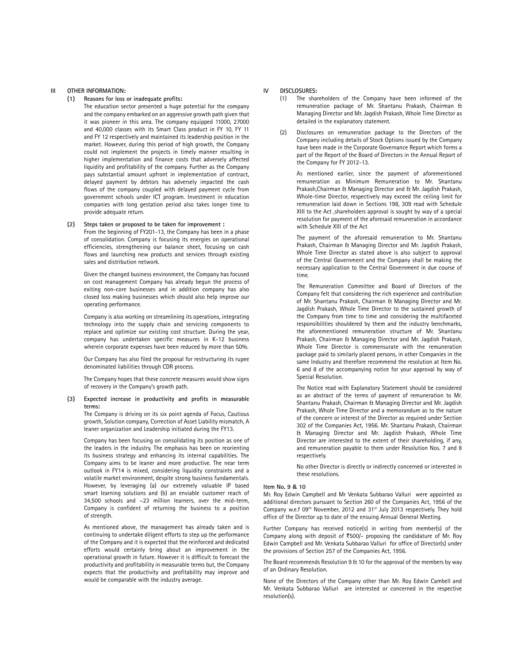#### **III OTHER INFORMATION:**

#### **(1) Reasons for loss or inadequate profits:**

 The education sector presented a huge potential for the company and the company embarked on an aggressive growth path given that it was pioneer in this area. The company equipped 11000, 27000 and 40,000 classes with its Smart Class product in FY 10, FY 11 and FY 12 respectively and maintained its leadership position in the market. However, during this period of high growth, the Company could not implement the projects in timely manner resulting in higher implementation and finance costs that adversely affected liquidity and profitability of the company. Further as the Company pays substantial amount upfront in implementation of contract, delayed payment by debtors has adversely impacted the cash flows of the company coupled with delayed payment cycle from government schools under ICT program. Investment in education companies with long gestation period also takes longer time to provide adequate return.

# **(2) Steps taken or proposed to be taken for improvement :**

 From the beginning of FY201-13, the Company has been in a phase of consolidation. Company is focusing its energies on operational efficiencies, strengthening our balance sheet, focusing on cash flows and launching new products and services through existing sales and distribution network.

 Given the changed business environment, the Company has focused on cost management Company has already begun the process of exiting non-core businesses and in addition company has also closed loss making businesses which should also help improve our operating performance.

 Company is also working on streamlining its operations, integrating technology into the supply chain and servicing components to replace and optimize our existing cost structure. During the year, company has undertaken specific measures in K-12 business wherein corporate expenses have been reduced by more than 50%.

 Our Company has also filed the proposal for restructuring its rupee denominated liabilities through CDR process.

 The Company hopes that these concrete measures would show signs of recovery in the Company's growth path.

#### **(3) Expected increase in productivity and profits in measurable terms:**

 The Company is driving on its six point agenda of Focus, Cautious growth, Solution company, Correction of Asset Liability mismatch, A leaner organization and Leadership initiated during the FY13.

 Company has been focusing on consolidating its position as one of the leaders in the industry. The emphasis has been on reorienting its business strategy and enhancing its internal capabilities. The Company aims to be leaner and more productive. The near term outlook in FY14 is mixed, considering liquidity constraints and a volatile market environment, despite strong business fundamentals. However, by leveraging (a) our extremely valuable IP based smart learning solutions and (b) an enviable customer reach of 34,500 schools and ~23 million learners, over the mid-term, Company is confident of returning the business to a position of strength.

 As mentioned above, the management has already taken and is continuing to undertake diligent efforts to step up the performance of the Company and it is expected that the reinforced and dedicated efforts would certainly bring about an improvement in the operational growth in future. However it is difficult to forecast the productivity and profitability in measurable terms but, the Company expects that the productivity and profitability may improve and would be comparable with the industry average.

#### **IV DISCLOSURES:**

- (1) The shareholders of the Company have been informed of the remuneration package of Mr. Shantanu Prakash, Chairman & Managing Director and Mr. Jagdish Prakash, Whole Time Director as detailed in the explanatory statement.
- (2) Disclosures on remuneration package to the Directors of the Company including details of Stock Options issued by the Company have been made in the Corporate Governance Report which forms a part of the Report of the Board of Directors in the Annual Report of the Company for FY 2012-13.

 As mentioned earlier, since the payment of aforementioned remuneration as Minimum Remuneration to Mr. Shantanu Prakash,Chairman & Managing Director and & Mr. Jagdish Prakash, Whole-time Director, respectively may exceed the ceiling limit for remuneration laid down in Sections 198, 309 read with Schedule XIII to the Act ,shareholders approval is sought by way of a special resolution for payment of the aforesaid remuneration in accordance with Schedule XIII of the Act

 The payment of the aforesaid remuneration to Mr. Shantanu Prakash, Chairman & Managing Director and Mr. Jagdish Prakash, Whole Time Director as stated above is also subject to approval of the Central Government and the Company shall be making the necessary application to the Central Government in due course of time.

 The Remuneration Committee and Board of Directors of the Company felt that considering the rich experience and contribution of Mr. Shantanu Prakash, Chairman & Managing Director and Mr. Jagdish Prakash, Whole Time Director to the sustained growth of the Company from time to time and considering the multifaceted responsibilities shouldered by them and the industry benchmarks, the aforementioned remuneration structure of Mr. Shantanu Prakash, Chairman & Managing Director and Mr. Jagdish Prakash, Whole Time Director is commensurate with the remuneration package paid to similarly placed persons, in other Companies in the same Industry and therefore recommend the resolution at Item No. 6 and 8 of the accompanying notice for your approval by way of Special Resolution.

 The Notice read with Explanatory Statement should be considered as an abstract of the terms of payment of remuneration to Mr. Shantanu Prakash, Chairman & Managing Director and Mr. Jagdish Prakash, Whole Time Director and a memorandum as to the nature of the concern or interest of the Director as required under Section 302 of the Companies Act, 1956. Mr. Shantanu Prakash, Chairman & Managing Director and Mr. Jagdish Prakash, Whole Time Director are interested to the extent of their shareholding, if any, and remuneration payable to them under Resolution Nos. 7 and 8 respectively.

 No other Director is directly or indirectly concerned or interested in these resolutions.

#### **Item No. 9 & 10**

Mr. Roy Edwin Campbell and Mr Venkata Subbarao Valluri were appointed as additional directors pursuant to Section 260 of the Companies Act, 1956 of the Company w.e.f 09<sup>th</sup> November, 2012 and 31<sup>st</sup> July 2013 respectively. They hold office of the Director up to date of the ensuing Annual General Meeting.

Further Company has received notice(s) in writing from member(s) of the Company along with deposit of  $\text{\texttt{F500}}$  proposing the candidature of Mr. Roy Edwin Campbell and Mr. Venkata Subbarao Valluri for office of Director(s) under the provisions of Section 257 of the Companies Act, 1956.

The Board recommends Resolution 9 & 10 for the approval of the members by way of an Ordinary Resolution.

None of the Directors of the Company other than Mr. Roy Edwin Cambell and Mr. Venkata Subbarao Valluri are interested or concerned in the respective resolution(s).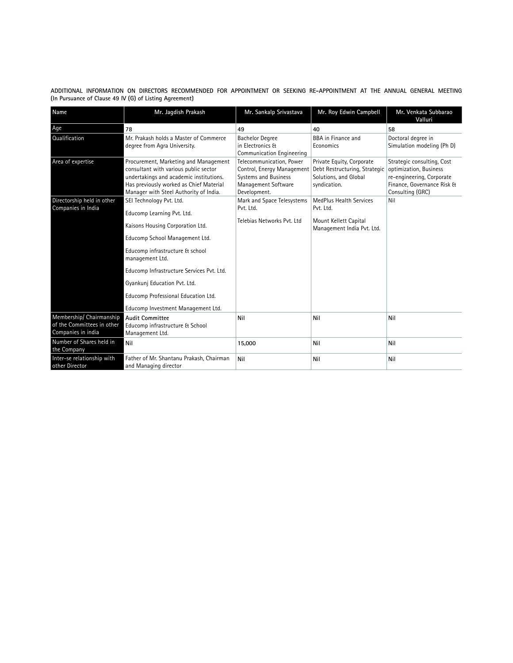**ADDITIONAL INFORMATION ON DIRECTORS RECOMMENDED FOR APPOINTMENT OR SEEKING RE-APPOINTMENT AT THE ANNUAL GENERAL MEETING (In Pursuance of Clause 49 IV (G) of Listing Agreement)**

| Name                                                                         | Mr. Jagdish Prakash                                                                                                                                                                                            | Mr. Sankalp Srivastava                                                                                                | Mr. Roy Edwin Campbell                                                                              | Mr. Venkata Subbarao<br>Valluri                                                                                                     |  |
|------------------------------------------------------------------------------|----------------------------------------------------------------------------------------------------------------------------------------------------------------------------------------------------------------|-----------------------------------------------------------------------------------------------------------------------|-----------------------------------------------------------------------------------------------------|-------------------------------------------------------------------------------------------------------------------------------------|--|
| Age                                                                          | 78                                                                                                                                                                                                             | 49                                                                                                                    | 40                                                                                                  | 58                                                                                                                                  |  |
| Qualification                                                                | Mr. Prakash holds a Master of Commerce<br>degree from Agra University.                                                                                                                                         | <b>Bachelor Degree</b><br>in Electronics &<br>Communication Engineering                                               | <b>BBA</b> in Finance and<br>Economics                                                              | Doctoral degree in<br>Simulation modeling (Ph D)                                                                                    |  |
| Area of expertise                                                            | Procurement, Marketing and Management<br>consultant with various public sector<br>undertakings and academic institutions.<br>Has previously worked as Chief Material<br>Manager with Steel Authority of India. | Telecommunication. Power<br>Control, Energy Management<br>Systems and Business<br>Management Software<br>Development. | Private Equity, Corporate<br>Debt Restructuring, Strategic<br>Solutions, and Global<br>syndication. | Strategic consulting, Cost<br>optimization, Business<br>re-engineering, Corporate<br>Finance, Governance Risk &<br>Consulting (GRC) |  |
| Directorship held in other                                                   | SEI Technology Pvt. Ltd.                                                                                                                                                                                       | Mark and Space Telesystems                                                                                            | <b>MedPlus Health Services</b>                                                                      | Nil                                                                                                                                 |  |
| Companies in India                                                           | Educomp Learning Pvt. Ltd.                                                                                                                                                                                     | Pvt. Ltd.                                                                                                             | Pvt. Ltd.<br>Mount Kellett Capital<br>Management India Pvt. Ltd.                                    |                                                                                                                                     |  |
|                                                                              | Kaisons Housing Corporation Ltd.                                                                                                                                                                               | Telebias Networks Pyt. Ltd                                                                                            |                                                                                                     |                                                                                                                                     |  |
|                                                                              | Educomp School Management Ltd.                                                                                                                                                                                 |                                                                                                                       |                                                                                                     |                                                                                                                                     |  |
|                                                                              | Educomp infrastructure & school<br>management Ltd.                                                                                                                                                             |                                                                                                                       |                                                                                                     |                                                                                                                                     |  |
|                                                                              | Educomp Infrastructure Services Pvt. Ltd.                                                                                                                                                                      |                                                                                                                       |                                                                                                     |                                                                                                                                     |  |
|                                                                              | Gyankuni Education Pvt. Ltd.                                                                                                                                                                                   |                                                                                                                       |                                                                                                     |                                                                                                                                     |  |
|                                                                              | Educomp Professional Education Ltd.                                                                                                                                                                            |                                                                                                                       |                                                                                                     |                                                                                                                                     |  |
|                                                                              | Educomp Investment Management Ltd.                                                                                                                                                                             |                                                                                                                       |                                                                                                     |                                                                                                                                     |  |
| Membership/ Chairmanship<br>of the Committees in other<br>Companies in india | <b>Audit Committee</b><br>Educomp infrastructure & School<br>Management Ltd.                                                                                                                                   | Nil                                                                                                                   | Nil                                                                                                 | Nil                                                                                                                                 |  |
| Number of Shares held in<br>the Company                                      | Nil                                                                                                                                                                                                            | 15,000                                                                                                                | Nil                                                                                                 | Nil                                                                                                                                 |  |
| Inter-se relationship with<br>other Director                                 | Father of Mr. Shantanu Prakash, Chairman<br>and Managing director                                                                                                                                              | Nil                                                                                                                   | Nil                                                                                                 | Nil                                                                                                                                 |  |